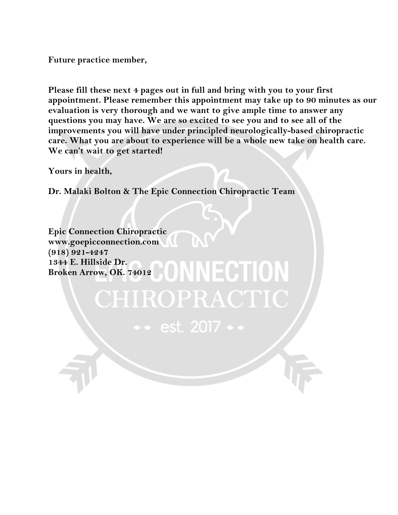**Future practice member,**

**Please fill these next 4 pages out in full and bring with you to your first appointment. Please remember this appointment may take up to 90 minutes as our evaluation is very thorough and we want to give ample time to answer any questions you may have. We are so excited to see you and to see all of the improvements you will have under principled neurologically-based chiropractic care. What you are about to experience will be a whole new take on health care. We can't wait to get started!**

**Yours in health,**

**Dr. Malaki Bolton & The Epic Connection Chiropractic Team**

CHIROPRACT

 $\bullet\bullet$  est. 2017  $\bullet$ 

**Epic Connection Chiropractic www.goepicconnection.com (918) 921-4247 1344 E. Hillside Dr. Broken Arrow, OK. 74012**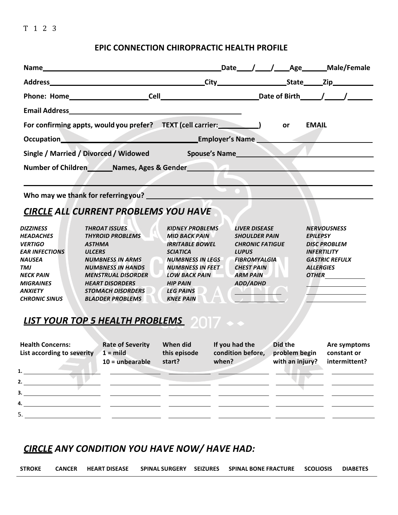## **EPIC CONNECTION CHIROPRACTIC HEALTH PROFILE**

| For confirming appts, would you prefer? TEXT (cell carrier: 1997)                                                                                                                                                                        |                                                                                                                                                                                                                                                        |                                                                                                                                                                                                                                      |                                                                                                                 | or                                             | <b>EMAIL</b>                                                                                                                                                                   |
|------------------------------------------------------------------------------------------------------------------------------------------------------------------------------------------------------------------------------------------|--------------------------------------------------------------------------------------------------------------------------------------------------------------------------------------------------------------------------------------------------------|--------------------------------------------------------------------------------------------------------------------------------------------------------------------------------------------------------------------------------------|-----------------------------------------------------------------------------------------------------------------|------------------------------------------------|--------------------------------------------------------------------------------------------------------------------------------------------------------------------------------|
| Dccupation Employer's Name Contract of Contract of Contract of Contract of Contract of Contract of Contract of Contract of Contract of Contract of Contract of Contract of Contract of Contract of Contract of Contract of Con           |                                                                                                                                                                                                                                                        |                                                                                                                                                                                                                                      |                                                                                                                 |                                                |                                                                                                                                                                                |
| Single / Married / Divorced / Widowed Spouse's Name                                                                                                                                                                                      |                                                                                                                                                                                                                                                        |                                                                                                                                                                                                                                      |                                                                                                                 |                                                |                                                                                                                                                                                |
| Number of Children Names, Ages & Gender Number of Children                                                                                                                                                                               |                                                                                                                                                                                                                                                        |                                                                                                                                                                                                                                      |                                                                                                                 |                                                |                                                                                                                                                                                |
|                                                                                                                                                                                                                                          |                                                                                                                                                                                                                                                        |                                                                                                                                                                                                                                      |                                                                                                                 |                                                |                                                                                                                                                                                |
|                                                                                                                                                                                                                                          |                                                                                                                                                                                                                                                        |                                                                                                                                                                                                                                      |                                                                                                                 |                                                |                                                                                                                                                                                |
| <b>CIRCLE ALL CURRENT PROBLEMS YOU HAVE</b>                                                                                                                                                                                              |                                                                                                                                                                                                                                                        |                                                                                                                                                                                                                                      |                                                                                                                 |                                                |                                                                                                                                                                                |
| <b>DIZZINESS</b><br><b>HEADACHES</b><br><b>VERTIGO</b><br><b>EAR INFECTIONS</b><br><b>NAUSEA</b><br><b>TMJ</b><br><b>NECK PAIN</b><br><b>MIGRAINES</b><br><b>ANXIETY</b><br><b>CHRONIC SINUS</b><br>LIST YOUR TOP 5 HEALTH PROBLEMS 2017 | <b>THROAT ISSUES</b><br><b>THYROID PROBLEMS</b><br><b>ASTHMA</b><br><b>ULCERS</b><br><b>NUMBNESS IN ARMS</b><br><b>NUMBNESS IN HANDS</b><br><b>MENSTRUAL DISORDER</b><br><b>HEART DISORDERS</b><br><b>STOMACH DISORDERS</b><br><b>BLADDER PROBLEMS</b> | <b>KIDNEY PROBLEMS</b><br><b>MID BACK PAIN</b><br><b>IRRITABLE BOWEL</b><br><b>SCIATICA</b><br><b>NUMBNESS IN LEGS</b><br><b>NUMBNESS IN FEET</b><br><b>LOW BACK PAIN</b><br><b>HIP PAIN</b><br><b>LEG PAINS</b><br><b>KNEE PAIN</b> | <b>LIVER DISEASE</b><br><b>LUPUS</b><br><b>FIBROMYALGIA</b><br><b>CHEST PAIN</b><br><b>ARM PAIN</b><br>ADD/ADHD | <b>SHOULDER PAIN</b><br><b>CHRONIC FATIGUE</b> | <b>NERVOUSNESS</b><br><b>EPILEPSY</b><br><b>DISC PROBLEM</b><br><b>INFERTILITY</b><br><b>GASTRIC REFULX</b><br><b>ALLERGIES</b><br><u> 1980 - Johann Barn, mars ann an t-A</u> |
| <b>Health Concerns:</b><br>List according to severity $1 =$ mild this episode condition before, problem begin constant or                                                                                                                | <b>Rate of Severity</b><br>$10 =$ unbearable start?                                                                                                                                                                                                    |                                                                                                                                                                                                                                      | when?                                                                                                           |                                                | When did If you had the Did the Are symptoms<br>with an injury? intermittent?                                                                                                  |
| $\mathbf{1.}$ $\blacksquare$<br>2. $\qquad \qquad$                                                                                                                                                                                       |                                                                                                                                                                                                                                                        |                                                                                                                                                                                                                                      |                                                                                                                 |                                                |                                                                                                                                                                                |
|                                                                                                                                                                                                                                          |                                                                                                                                                                                                                                                        |                                                                                                                                                                                                                                      |                                                                                                                 |                                                |                                                                                                                                                                                |
| 4.                                                                                                                                                                                                                                       |                                                                                                                                                                                                                                                        |                                                                                                                                                                                                                                      |                                                                                                                 |                                                |                                                                                                                                                                                |
|                                                                                                                                                                                                                                          |                                                                                                                                                                                                                                                        |                                                                                                                                                                                                                                      |                                                                                                                 |                                                |                                                                                                                                                                                |

## **CIRCLE** ANY CONDITION YOU HAVE NOW/ HAVE HAD:

| <b>STROKE</b> |  |  | CANCER HEART DISEASE SPINAL SURGERY SEIZURES SPINAL BONE FRACTURE SCOLIOSIS DIABETES |  |
|---------------|--|--|--------------------------------------------------------------------------------------|--|
|               |  |  |                                                                                      |  |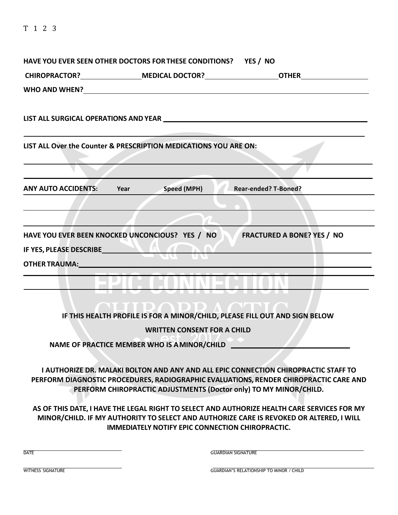| HAVE YOU EVER SEEN OTHER DOCTORS FOR THESE CONDITIONS? YES / NO                                                                                                                                                                |                                                         |                                                                                                                                                                                                                                                   |
|--------------------------------------------------------------------------------------------------------------------------------------------------------------------------------------------------------------------------------|---------------------------------------------------------|---------------------------------------------------------------------------------------------------------------------------------------------------------------------------------------------------------------------------------------------------|
|                                                                                                                                                                                                                                |                                                         | CHIROPRACTOR? _____________________MEDICAL DOCTOR? ______________________________                                                                                                                                                                 |
|                                                                                                                                                                                                                                |                                                         |                                                                                                                                                                                                                                                   |
|                                                                                                                                                                                                                                |                                                         | LIST ALL SURGICAL OPERATIONS AND YEAR NAME AND THE RESERVE AND THE RESERVE AND THE RESERVE AND RESERVE AND RESERVE AND RESERVE AND RESERVE AND RESERVE AND RESERVE AND RESERVE AND RESERVE AND RESERVE AND RESERVE AND RESERVE                    |
| LIST ALL Over the Counter & PRESCRIPTION MEDICATIONS YOU ARE ON:                                                                                                                                                               |                                                         |                                                                                                                                                                                                                                                   |
|                                                                                                                                                                                                                                |                                                         |                                                                                                                                                                                                                                                   |
| <b>ANY AUTO ACCIDENTS:</b>                                                                                                                                                                                                     | Speed (MPH)<br>Year                                     | <b>Rear-ended? T-Boned?</b>                                                                                                                                                                                                                       |
|                                                                                                                                                                                                                                |                                                         |                                                                                                                                                                                                                                                   |
|                                                                                                                                                                                                                                |                                                         |                                                                                                                                                                                                                                                   |
| HAVE YOU EVER BEEN KNOCKED UNCONCIOUS? YES / NO                                                                                                                                                                                |                                                         | <b>FRACTURED A BONE? YES / NO</b>                                                                                                                                                                                                                 |
| IF YES, PLEASE DESCRIBE                                                                                                                                                                                                        |                                                         |                                                                                                                                                                                                                                                   |
| OTHER TRAUMA: University of the contract of the contract of the contract of the contract of the contract of the contract of the contract of the contract of the contract of the contract of the contract of the contract of th |                                                         |                                                                                                                                                                                                                                                   |
|                                                                                                                                                                                                                                |                                                         |                                                                                                                                                                                                                                                   |
|                                                                                                                                                                                                                                |                                                         |                                                                                                                                                                                                                                                   |
|                                                                                                                                                                                                                                |                                                         | <b>ODD ACTLE</b>                                                                                                                                                                                                                                  |
|                                                                                                                                                                                                                                |                                                         | IF THIS HEALTH PROFILE IS FOR A MINOR/CHILD, PLEASE FILL OUT AND SIGN BELOW                                                                                                                                                                       |
|                                                                                                                                                                                                                                | <b>WRITTEN CONSENT FOR A CHILD</b>                      |                                                                                                                                                                                                                                                   |
|                                                                                                                                                                                                                                | NAME OF PRACTICE MEMBER WHO IS A MINOR/CHILD            |                                                                                                                                                                                                                                                   |
|                                                                                                                                                                                                                                |                                                         |                                                                                                                                                                                                                                                   |
|                                                                                                                                                                                                                                |                                                         | I AUTHORIZE DR. MALAKI BOLTON AND ANY AND ALL EPIC CONNECTION CHIROPRACTIC STAFF TO<br>PERFORM DIAGNOSTIC PROCEDURES, RADIOGRAPHIC EVALUATIONS, RENDER CHIROPRACTIC CARE AND<br>PERFORM CHIROPRACTIC ADJUSTMENTS (Doctor only) TO MY MINOR/CHILD. |
|                                                                                                                                                                                                                                | <b>IMMEDIATELY NOTIFY EPIC CONNECTION CHIROPRACTIC.</b> | AS OF THIS DATE, I HAVE THE LEGAL RIGHT TO SELECT AND AUTHORIZE HEALTH CARE SERVICES FOR MY<br>MINOR/CHILD. IF MY AUTHORITY TO SELECT AND AUTHORIZE CARE IS REVOKED OR ALTERED, I WILL                                                            |
| <b>DATE</b>                                                                                                                                                                                                                    |                                                         | <b>GUARDIAN SIGNATURE</b>                                                                                                                                                                                                                         |
| <b>WITNESS SIGNATURE</b>                                                                                                                                                                                                       |                                                         | <b>GUARDIAN'S RELATIONSHIP TO MINOR / CHILD</b>                                                                                                                                                                                                   |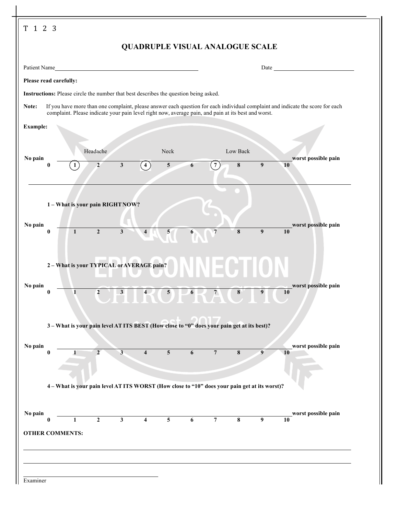|                 |                        |                                                                                                     |                            |                |                         |                         |   |                 | <b>QUADRUPLE VISUAL ANALOGUE SCALE</b> |                  |                                                                                                                                |
|-----------------|------------------------|-----------------------------------------------------------------------------------------------------|----------------------------|----------------|-------------------------|-------------------------|---|-----------------|----------------------------------------|------------------|--------------------------------------------------------------------------------------------------------------------------------|
|                 | Patient Name           |                                                                                                     |                            |                |                         |                         |   |                 |                                        |                  | Date                                                                                                                           |
|                 | Please read carefully: |                                                                                                     |                            |                |                         |                         |   |                 |                                        |                  |                                                                                                                                |
|                 |                        | Instructions: Please circle the number that best describes the question being asked.                |                            |                |                         |                         |   |                 |                                        |                  |                                                                                                                                |
| Note:           |                        | complaint. Please indicate your pain level right now, average pain, and pain at its best and worst. |                            |                |                         |                         |   |                 |                                        |                  | If you have more than one complaint, please answer each question for each individual complaint and indicate the score for each |
| <b>Example:</b> |                        |                                                                                                     |                            |                |                         |                         |   |                 |                                        |                  |                                                                                                                                |
| No pain         |                        | 1                                                                                                   | Headache<br>$\overline{2}$ | $\mathbf{3}$   | $\overline{4}$          | Neck<br>$5\overline{)}$ | 6 | $\frac{1}{2}$   | Low Back<br>8                          | 9                | worst possible pain<br>10                                                                                                      |
| No pain         | $\bf{0}$               | 1-What is your pain RIGHT NOW?<br>$\mathbf{1}$                                                      | $\overline{2}$             | $\mathbf{3}$   | $\overline{4}$          | 5                       | 6 | $\overline{7}$  | 8                                      | 9                | worst possible pain<br>10                                                                                                      |
| No pain         | 0                      | 2 – What is your TYPICAL or AVERAGE pain?<br>ī                                                      | $\overline{2}$             | 3              | 4 <sup>1</sup>          | $5\overline{)}$         | 6 |                 | 8 <sup>1</sup>                         | 9 <sup>1</sup>   | worst possible pain<br>10                                                                                                      |
| No pain         | $\bf{0}$               | 3-What is your pain level AT ITS BEST (How close to "0" does your pain get at its best)?            | $\overline{2}$             | 3 <sup>1</sup> | $\overline{\mathbf{4}}$ | $5\phantom{.0}$         | 6 | $7\overline{ }$ | 8                                      | $\boldsymbol{9}$ | worst possible pain<br>10                                                                                                      |
|                 |                        | 4 - What is your pain level AT ITS WORST (How close to "10" does your pain get at its worst)?       |                            |                |                         |                         |   |                 |                                        |                  |                                                                                                                                |
| No pain         |                        |                                                                                                     |                            |                |                         |                         |   |                 |                                        |                  | worst possible pain                                                                                                            |